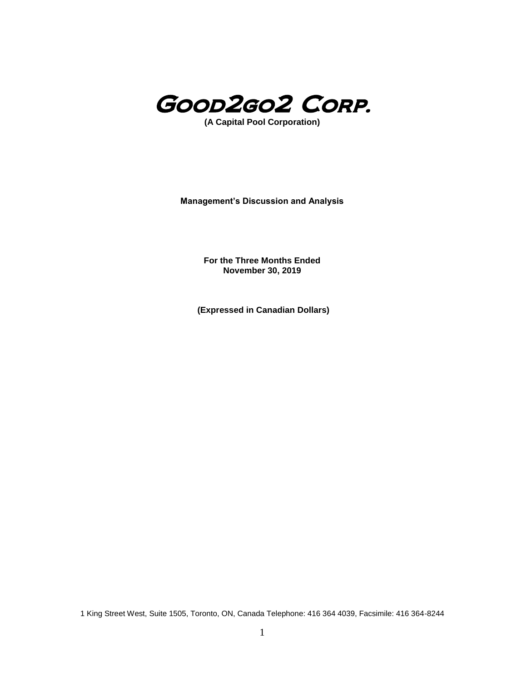

**(A Capital Pool Corporation)**

**Management's Discussion and Analysis**

**For the Three Months Ended November 30, 2019**

**(Expressed in Canadian Dollars)**

1 King Street West, Suite 1505, Toronto, ON, Canada Telephone: 416 364 4039, Facsimile: 416 364-8244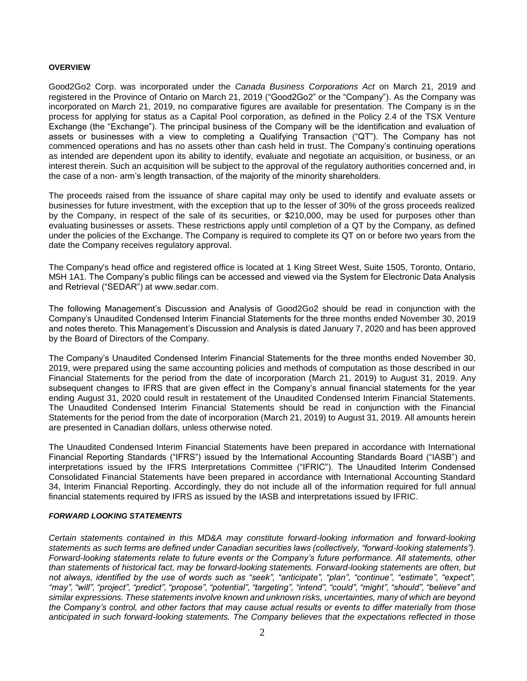#### **OVERVIEW**

Good2Go2 Corp. was incorporated under the *Canada Business Corporations Act* on March 21, 2019 and registered in the Province of Ontario on March 21, 2019 ("Good2Go2" or the "Company"). As the Company was incorporated on March 21, 2019, no comparative figures are available for presentation. The Company is in the process for applying for status as a Capital Pool corporation, as defined in the Policy 2.4 of the TSX Venture Exchange (the "Exchange"). The principal business of the Company will be the identification and evaluation of assets or businesses with a view to completing a Qualifying Transaction ("QT"). The Company has not commenced operations and has no assets other than cash held in trust. The Company's continuing operations as intended are dependent upon its ability to identify, evaluate and negotiate an acquisition, or business, or an interest therein. Such an acquisition will be subject to the approval of the regulatory authorities concerned and, in the case of a non- arm's length transaction, of the majority of the minority shareholders.

The proceeds raised from the issuance of share capital may only be used to identify and evaluate assets or businesses for future investment, with the exception that up to the lesser of 30% of the gross proceeds realized by the Company, in respect of the sale of its securities, or \$210,000, may be used for purposes other than evaluating businesses or assets. These restrictions apply until completion of a QT by the Company, as defined under the policies of the Exchange. The Company is required to complete its QT on or before two years from the date the Company receives regulatory approval.

The Company's head office and registered office is located at 1 King Street West, Suite 1505, Toronto, Ontario, M5H 1A1. The Company's public filings can be accessed and viewed via the System for Electronic Data Analysis and Retrieval ("SEDAR") at www.sedar.com.

The following Management's Discussion and Analysis of Good2Go2 should be read in conjunction with the Company's Unaudited Condensed Interim Financial Statements for the three months ended November 30, 2019 and notes thereto. This Management's Discussion and Analysis is dated January 7, 2020 and has been approved by the Board of Directors of the Company.

The Company's Unaudited Condensed Interim Financial Statements for the three months ended November 30, 2019, were prepared using the same accounting policies and methods of computation as those described in our Financial Statements for the period from the date of incorporation (March 21, 2019) to August 31, 2019. Any subsequent changes to IFRS that are given effect in the Company's annual financial statements for the year ending August 31, 2020 could result in restatement of the Unaudited Condensed Interim Financial Statements. The Unaudited Condensed Interim Financial Statements should be read in conjunction with the Financial Statements for the period from the date of incorporation (March 21, 2019) to August 31, 2019. All amounts herein are presented in Canadian dollars, unless otherwise noted.

The Unaudited Condensed Interim Financial Statements have been prepared in accordance with International Financial Reporting Standards ("IFRS") issued by the International Accounting Standards Board ("IASB") and interpretations issued by the IFRS Interpretations Committee ("IFRIC"). The Unaudited Interim Condensed Consolidated Financial Statements have been prepared in accordance with International Accounting Standard 34, Interim Financial Reporting. Accordingly, they do not include all of the information required for full annual financial statements required by IFRS as issued by the IASB and interpretations issued by IFRIC.

#### *FORWARD LOOKING STATEMENTS*

*Certain statements contained in this MD&A may constitute forward-looking information and forward-looking statements as such terms are defined under Canadian securities laws (collectively, "forward-looking statements"). Forward-looking statements relate to future events or the Company's future performance. All statements, other than statements of historical fact, may be forward-looking statements. Forward-looking statements are often, but not always, identified by the use of words such as "seek", "anticipate", "plan", "continue", "estimate", "expect", "may", "will", "project", "predict", "propose", "potential", "targeting", "intend", "could", "might", "should", "believe" and similar expressions. These statements involve known and unknown risks, uncertainties, many of which are beyond the Company's control, and other factors that may cause actual results or events to differ materially from those anticipated in such forward-looking statements. The Company believes that the expectations reflected in those*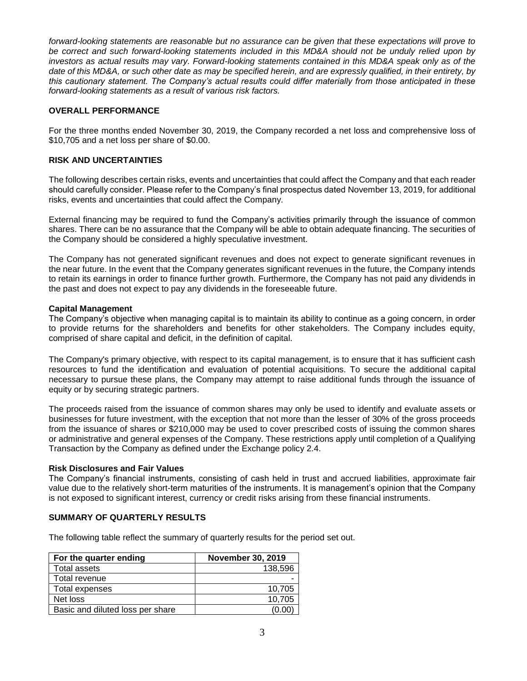*forward-looking statements are reasonable but no assurance can be given that these expectations will prove to*  be correct and such forward-looking statements included in this MD&A should not be unduly relied upon by *investors as actual results may vary. Forward-looking statements contained in this MD&A speak only as of the date of this MD&A, or such other date as may be specified herein, and are expressly qualified, in their entirety, by this cautionary statement. The Company's actual results could differ materially from those anticipated in these forward-looking statements as a result of various risk factors.*

### **OVERALL PERFORMANCE**

For the three months ended November 30, 2019, the Company recorded a net loss and comprehensive loss of \$10,705 and a net loss per share of \$0.00.

#### **RISK AND UNCERTAINTIES**

The following describes certain risks, events and uncertainties that could affect the Company and that each reader should carefully consider. Please refer to the Company's final prospectus dated November 13, 2019, for additional risks, events and uncertainties that could affect the Company.

External financing may be required to fund the Company's activities primarily through the issuance of common shares. There can be no assurance that the Company will be able to obtain adequate financing. The securities of the Company should be considered a highly speculative investment.

The Company has not generated significant revenues and does not expect to generate significant revenues in the near future. In the event that the Company generates significant revenues in the future, the Company intends to retain its earnings in order to finance further growth. Furthermore, the Company has not paid any dividends in the past and does not expect to pay any dividends in the foreseeable future.

#### **Capital Management**

The Company's objective when managing capital is to maintain its ability to continue as a going concern, in order to provide returns for the shareholders and benefits for other stakeholders. The Company includes equity, comprised of share capital and deficit, in the definition of capital.

The Company's primary objective, with respect to its capital management, is to ensure that it has sufficient cash resources to fund the identification and evaluation of potential acquisitions. To secure the additional capital necessary to pursue these plans, the Company may attempt to raise additional funds through the issuance of equity or by securing strategic partners.

The proceeds raised from the issuance of common shares may only be used to identify and evaluate assets or businesses for future investment, with the exception that not more than the lesser of 30% of the gross proceeds from the issuance of shares or \$210,000 may be used to cover prescribed costs of issuing the common shares or administrative and general expenses of the Company. These restrictions apply until completion of a Qualifying Transaction by the Company as defined under the Exchange policy 2.4.

#### **Risk Disclosures and Fair Values**

The Company's financial instruments, consisting of cash held in trust and accrued liabilities, approximate fair value due to the relatively short-term maturities of the instruments. It is management's opinion that the Company is not exposed to significant interest, currency or credit risks arising from these financial instruments.

#### **SUMMARY OF QUARTERLY RESULTS**

The following table reflect the summary of quarterly results for the period set out.

| For the quarter ending           | <b>November 30, 2019</b> |
|----------------------------------|--------------------------|
| <b>Total assets</b>              | 138,596                  |
| Total revenue                    |                          |
| Total expenses                   | 10.705                   |
| Net loss                         | 10.705                   |
| Basic and diluted loss per share | '0.00                    |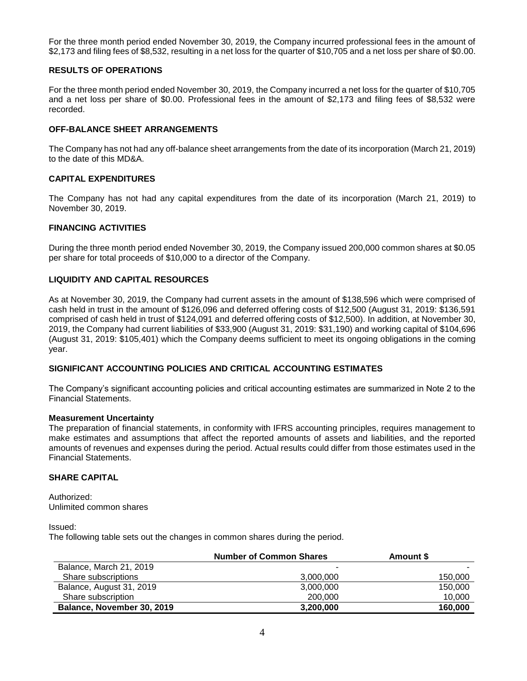For the three month period ended November 30, 2019, the Company incurred professional fees in the amount of \$2,173 and filing fees of \$8,532, resulting in a net loss for the quarter of \$10,705 and a net loss per share of \$0.00.

#### **RESULTS OF OPERATIONS**

For the three month period ended November 30, 2019, the Company incurred a net loss for the quarter of \$10,705 and a net loss per share of \$0.00. Professional fees in the amount of \$2,173 and filing fees of \$8,532 were recorded.

### **OFF-BALANCE SHEET ARRANGEMENTS**

The Company has not had any off-balance sheet arrangements from the date of its incorporation (March 21, 2019) to the date of this MD&A.

### **CAPITAL EXPENDITURES**

The Company has not had any capital expenditures from the date of its incorporation (March 21, 2019) to November 30, 2019.

### **FINANCING ACTIVITIES**

During the three month period ended November 30, 2019, the Company issued 200,000 common shares at \$0.05 per share for total proceeds of \$10,000 to a director of the Company.

### **LIQUIDITY AND CAPITAL RESOURCES**

As at November 30, 2019, the Company had current assets in the amount of \$138,596 which were comprised of cash held in trust in the amount of \$126,096 and deferred offering costs of \$12,500 (August 31, 2019: \$136,591 comprised of cash held in trust of \$124,091 and deferred offering costs of \$12,500). In addition, at November 30, 2019, the Company had current liabilities of \$33,900 (August 31, 2019: \$31,190) and working capital of \$104,696 (August 31, 2019: \$105,401) which the Company deems sufficient to meet its ongoing obligations in the coming year.

## **SIGNIFICANT ACCOUNTING POLICIES AND CRITICAL ACCOUNTING ESTIMATES**

The Company's significant accounting policies and critical accounting estimates are summarized in Note 2 to the Financial Statements.

#### **Measurement Uncertainty**

The preparation of financial statements, in conformity with IFRS accounting principles, requires management to make estimates and assumptions that affect the reported amounts of assets and liabilities, and the reported amounts of revenues and expenses during the period. Actual results could differ from those estimates used in the Financial Statements.

# **SHARE CAPITAL**

Authorized: Unlimited common shares

Issued:

The following table sets out the changes in common shares during the period.

|                            | <b>Number of Common Shares</b> | Amount \$ |
|----------------------------|--------------------------------|-----------|
| Balance, March 21, 2019    | ۰                              |           |
| Share subscriptions        | 3,000,000                      | 150,000   |
| Balance, August 31, 2019   | 3,000,000                      | 150,000   |
| Share subscription         | 200,000                        | 10,000    |
| Balance, November 30, 2019 | 3,200,000                      | 160,000   |